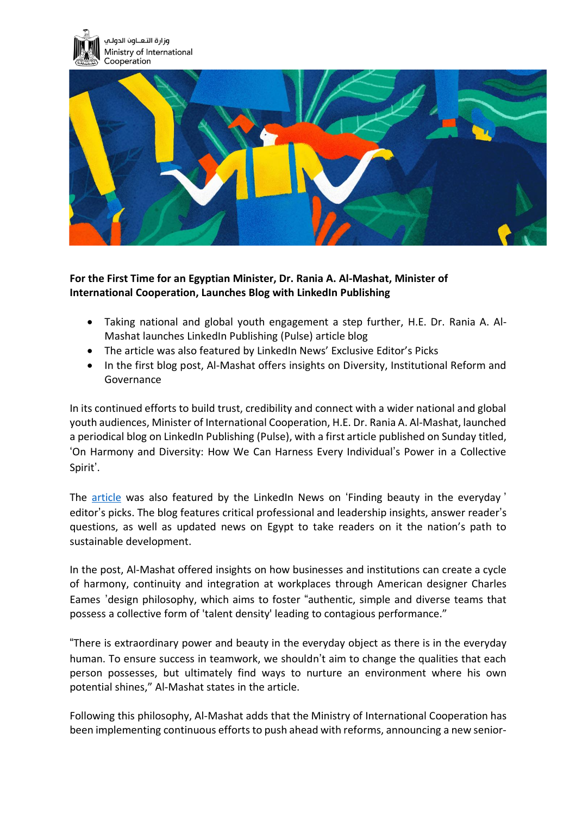



## **For the First Time for an Egyptian Minister, Dr. Rania A. Al-Mashat, Minister of International Cooperation, Launches Blog with LinkedIn Publishing**

- Taking national and global youth engagement a step further, H.E. Dr. Rania A. Al-Mashat launches LinkedIn Publishing (Pulse) article blog
- The article was also featured by LinkedIn News' Exclusive Editor's Picks
- In the first blog post, Al-Mashat offers insights on Diversity, Institutional Reform and Governance

In its continued efforts to build trust, credibility and connect with a wider national and global youth audiences, Minister of International Cooperation, H.E. Dr. Rania A. Al-Mashat, launched a periodical blog on LinkedIn Publishing (Pulse), with a first article published on Sunday titled, 'On Harmony and Diversity: How We Can Harness Every Individual's Power in a Collective Spirit'.

The [article](https://www.linkedin.com/pulse/harmony-diversity-how-can-we-harness-every-power-rania-a-al-mashat) was also featured by the LinkedIn News on 'Finding beauty in the everyday' editor's picks. The blog features critical professional and leadership insights, answer reader's questions, as well as updated news on Egypt to take readers on it the nation's path to sustainable development.

In the post, Al-Mashat offered insights on how businesses and institutions can create a cycle of harmony, continuity and integration at workplaces through American designer Charles Eames 'design philosophy, which aims to foster "authentic, simple and diverse teams that possess a collective form of 'talent density' leading to contagious performance."

"There is extraordinary power and beauty in the everyday object as there is in the everyday human. To ensure success in teamwork, we shouldn't aim to change the qualities that each person possesses, but ultimately find ways to nurture an environment where his own potential shines," Al-Mashat states in the article.

Following this philosophy, Al-Mashat adds that the Ministry of International Cooperation has been implementing continuous efforts to push ahead with reforms, announcing a new senior